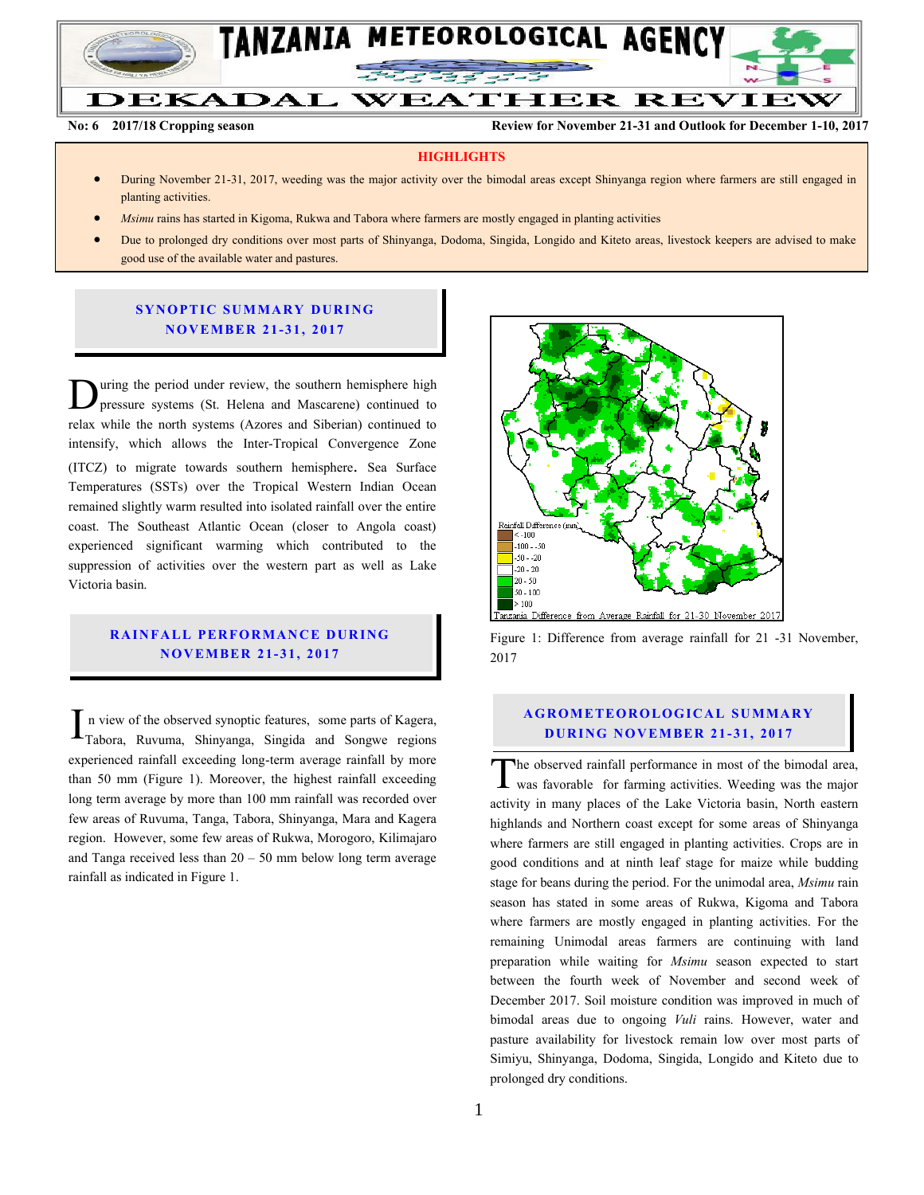

**DEKADAL WEATHER REVIEW** 

**No: 6 2017/18 Cropping season Review for November 21-31 and Outlook for December 1-10, 2017** 

#### **HIGHLIGHTS**

- During November 21-31, 2017, weeding was the major activity over the bimodal areas except Shinyanga region where farmers are still engaged in planting activities.
- *Msimu* rains has started in Kigoma, Rukwa and Tabora where farmers are mostly engaged in planting activities
- Due to prolonged dry conditions over most parts of Shinyanga, Dodoma, Singida, Longido and Kiteto areas, livestock keepers are advised to make good use of the available water and pastures.

#### **SY N O PTIC SU MMA RY D UR ING NO V EMBER 21- 31, 2017**

uring the period under review, the southern hemisphere high pressure systems (St. Helena and Mascarene) continued to Uning the period under review, the southern hemisphere high pressure systems (St. Helena and Mascarene) continued to relax while the north systems (Azores and Siberian) continued to intensify, which allows the Inter-Tropical Convergence Zone (ITCZ) to migrate towards southern hemisphere. Sea Surface Temperatures (SSTs) over the Tropical Western Indian Ocean remained slightly warm resulted into isolated rainfall over the entire coast. The Southeast Atlantic Ocean (closer to Angola coast) experienced significant warming which contributed to the suppression of activities over the western part as well as Lake Victoria basin.

### **RAINFALL PERFORMANCE DURING N O V EMBER 21- 31, 2017**

n view of the observed synoptic features, some parts of Kagera,  $\Gamma$ n view of the observed synoptic features, some parts of Kagera, Tabora, Ruvuma, Shinyanga, Singida and Songwe regions experienced rainfall exceeding long-term average rainfall by more than 50 mm (Figure 1). Moreover, the highest rainfall exceeding long term average by more than 100 mm rainfall was recorded over few areas of Ruvuma, Tanga, Tabora, Shinyanga, Mara and Kagera region. However, some few areas of Rukwa, Morogoro, Kilimajaro and Tanga received less than  $20 - 50$  mm below long term average rainfall as indicated in Figure 1.



Figure 1: Difference from average rainfall for 21 -31 November, 2017

### **A G RO METEO R O LOG ICA L SU MMA RY DURING NOVEMBER 21-31, 2017**

he observed rainfall performance in most of the bimodal area, The observed rainfall performance in most of the bimodal area,<br>was favorable for farming activities. Weeding was the major activity in many places of the Lake Victoria basin, North eastern highlands and Northern coast except for some areas of Shinyanga where farmers are still engaged in planting activities. Crops are in good conditions and at ninth leaf stage for maize while budding stage for beans during the period. For the unimodal area, *Msimu* rain season has stated in some areas of Rukwa, Kigoma and Tabora where farmers are mostly engaged in planting activities. For the remaining Unimodal areas farmers are continuing with land preparation while waiting for *Msimu* season expected to start between the fourth week of November and second week of December 2017. Soil moisture condition was improved in much of bimodal areas due to ongoing *Vuli* rains. However, water and pasture availability for livestock remain low over most parts of Simiyu, Shinyanga, Dodoma, Singida, Longido and Kiteto due to prolonged dry conditions.